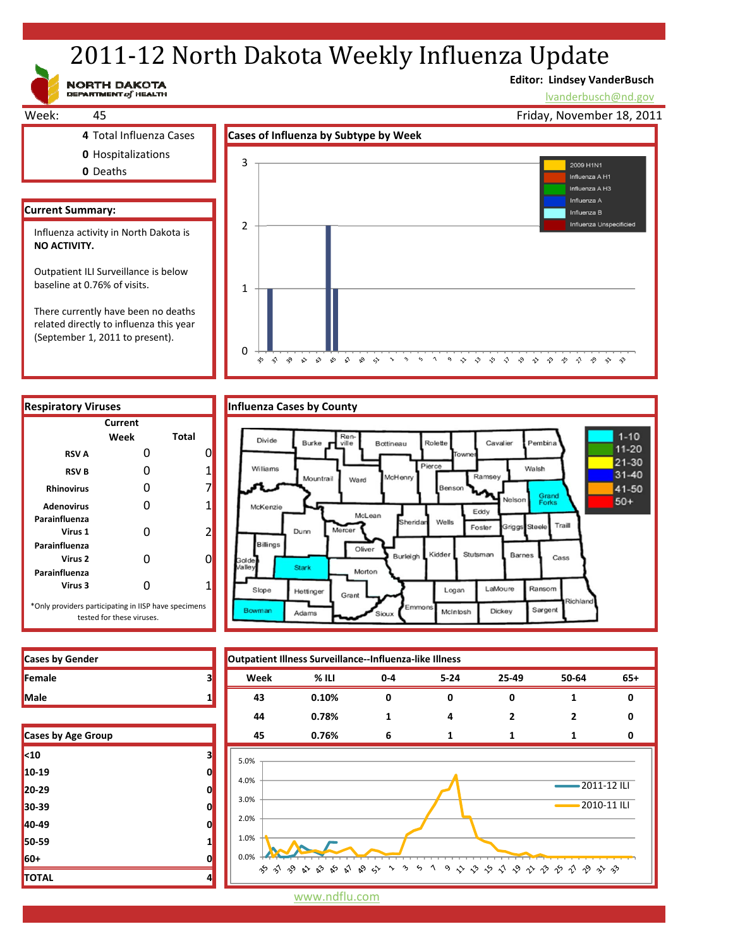# 2011-12 North Dakota Weekly Influenza Update

NORTH DAKOTA

## **Editor: Lindsey VanderBusch**

lvanderbusch@nd.gov



| <b>Respiratory Viruses</b>                                                        |         |                | Influenza Cases by County      |                        |
|-----------------------------------------------------------------------------------|---------|----------------|--------------------------------|------------------------|
|                                                                                   | Current |                |                                |                        |
|                                                                                   | Week    | Total          | Divide                         | Ren-<br>Burke<br>ville |
| <b>RSVA</b>                                                                       |         | 0              |                                |                        |
| <b>RSVB</b>                                                                       |         | 1              | Williams                       | Mountrail              |
| <b>Rhinovirus</b>                                                                 | n       | 7              |                                | W.                     |
| <b>Adenovirus</b>                                                                 |         | 1              | McKenzie                       |                        |
| Parainfluenza<br>Virus 1                                                          | n       | $\overline{2}$ | Dunn<br>Billings               | Mercer                 |
| Parainfluenza<br>Virus 2<br>Parainfluenza                                         |         | 0              | Golde<br>'alle<br><b>Stark</b> |                        |
| Virus 3                                                                           |         | 1              | Slope<br>Hettinger             | Gran                   |
| *Only providers participating in IISP have specimens<br>tested for these viruses. |         |                | Bowman<br>Adams                |                        |

| <b>Influenza Cases by County</b> |  |  |
|----------------------------------|--|--|

0



か う や や や め め め う っ っ っ っ や や や や や や や や や や や や



| Cases by Age Group |   |  |
|--------------------|---|--|
| $10$               | 3 |  |
| 10-19              | 0 |  |
| 20-29              | 0 |  |
| 30-39              | 0 |  |
| 40-49              | 0 |  |
| 50-59              | 1 |  |
| 60+                | 0 |  |
| <b>TOTAL</b>       | 4 |  |

www.ndflu.com